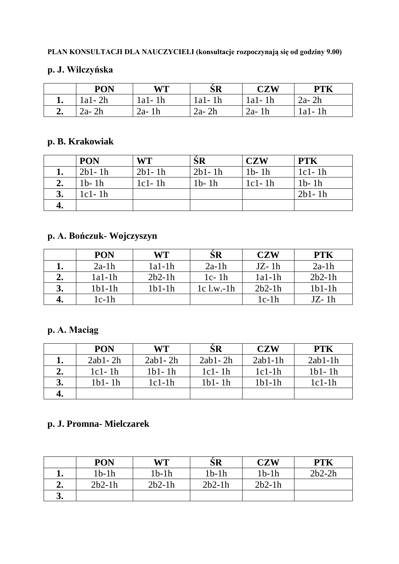#### **PLAN KONSULTACJI DLA NAUCZYCIELI (konsultacje rozpoczynają się od godziny 9.00)**

#### **p. J. Wilczyńska**

|    | <b>PON</b> | <b>WT</b>    | <b>SR</b>      | CZW  | DTE     |
|----|------------|--------------|----------------|------|---------|
| ≖∙ | 1a1 - 2h   | .a1-1<br>I h | $1a1-$<br>1n   | 'al- | $2a-2h$ |
| "  | $2a-2h$    | $2a-$        | $2a-$<br>- 211 | 2a-  | a I-    |

#### **p. B. Krakowiak**

|    | <b>PON</b> | <b>WT</b>  | SR         | <b>CZW</b> | <b>PTK</b> |
|----|------------|------------|------------|------------|------------|
|    | $2b1 - 1h$ | $2b1 - 1h$ | $2b1 - 1h$ | $1b-1h$    | $1c1-1h$   |
| 2. | 1b- 1h     | $1c1 - 1h$ | $1b-1h$    | $1c1 - 1h$ | $1b-1h$    |
|    | 1c1- 1h    |            |            |            | $2b1 - 1h$ |
| 4. |            |            |            |            |            |

## **p. A. Bończuk- Wojczyszyn**

|    | <b>PON</b> | WT       | SR           | <b>CZW</b> | <b>PTK</b> |
|----|------------|----------|--------------|------------|------------|
|    | $2a-1h$    | $1a1-1h$ | $2a-1h$      | $JZ-1h$    | $2a-1h$    |
| 2. | $1a1-1h$   | $2b2-1h$ | $1c-1h$      | $1a1-1h$   | $2b2-1h$   |
| 3. | $1b1-1h$   | $1b1-1h$ | $1c$ l.w.-1h | $2b2-1h$   | $1b1-1h$   |
| 4. | 1c-1h      |          |              | $1c-1h$    | $JZ-1h$    |

#### **p. A. Maciąg**

| <b>PON</b>  | WT          | SR          | <b>CZW</b> | PTK       |
|-------------|-------------|-------------|------------|-----------|
| $2ab1 - 2h$ | $2ab1 - 2h$ | $2ab1 - 2h$ | $2ab1-1h$  | $2ab1-1h$ |
| $1c1-1h$    | $1b1-1h$    | $1c1-1h$    | $1c1-1h$   | $1b1-1h$  |
| $1b1 - 1h$  | $1c1-1h$    | $1b1 - 1b$  | $1b1-1h$   | $1c1-1h$  |
|             |             |             |            |           |

### **p. J. Promna- Mielczarek**

|    | <b>PON</b> | <b>WT</b> | SR       | <b>CZW</b> | <b>PTK</b> |
|----|------------|-----------|----------|------------|------------|
|    | $1b-1h$    | $1b-1h$   | $1b-1h$  | $1b-1h$    | $2b2-2h$   |
| "  | $2b2-1h$   | $2b2-1h$  | $2b2-1h$ | $2b2-1h$   |            |
| J. |            |           |          |            |            |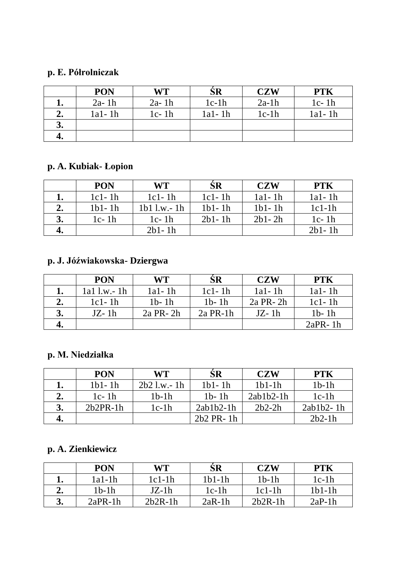### **p. E. Półrolniczak**

|    | <b>PON</b> | <b>WT</b> | SR         | <b>CZW</b> | <b>PTK</b> |
|----|------------|-----------|------------|------------|------------|
|    | $2a-1h$    | $2a-1h$   | $1c-1h$    | $2a-1h$    | $1c-1h$    |
| z. | $1a1 - 1h$ | $1c-1h$   | $1a1 - 1h$ | $1c-1h$    | $1a1 - 1h$ |
| 3. |            |           |            |            |            |
| 4. |            |           |            |            |            |

## **p. A. Kubiak- Łopion**

|    | <b>PON</b> | WT               | SR         | <b>CZW</b> | <b>PTK</b> |
|----|------------|------------------|------------|------------|------------|
|    | $1c1-1h$   | $1c1-1h$         | $1c1-1h$   | $1a1 - 1h$ | $1a1 - 1h$ |
| 2. | $1b1 - 1h$ | $1b1$ l.w.- $1h$ | $1b1-1h$   | $1b1 - 1b$ | $1c1-1h$   |
| 3. | $1c-1h$    | $1c-1h$          | $2b1 - 1h$ | $2b1 - 2h$ | $1c-1h$    |
|    |            | $2b1 - 1h$       |            |            | $2b1 - 1h$ |

### **p. J. Jóźwiakowska- Dziergwa**

| <b>PON</b>       | WT           | SR         | <b>CZW</b>    | <b>PTK</b> |
|------------------|--------------|------------|---------------|------------|
| $1a1$ l.w.- $1h$ | $1a1 - 1h$   | $1c1-1h$   | $1a1 - 1h$    | $1a1 - 1h$ |
| $1c1-1h$         | $1b - 1h$    | $1b - 1h$  | $2a$ PR- $2h$ | $1c1-1h$   |
| $JZ-1h$          | $2a PR - 2h$ | $2a PR-1h$ | $JZ-1h$       | $1b-1h$    |
|                  |              |            |               | $2aPR-1h$  |

#### **p. M. Niedziałka**

| <b>PON</b> | WT             | SR          | <b>CZW</b>  | <b>PTK</b>  |
|------------|----------------|-------------|-------------|-------------|
| $1b1 - 1h$ | $2b2$ l.w.- 1h | $1b1 - 1b$  | $1b1-1h$    | $1b-1h$     |
| $1c-1h$    | $1b-1h$        | $1b - 1h$   | $2ab1b2-1h$ | $1c-1h$     |
| $2b2PR-1h$ | $1c-1h$        | $2ab1b2-1h$ | $2b2-2h$    | $2ab1b2-1h$ |
|            |                | $2b2$ PR-1h |             | $2b2-1h$    |

### **p. A. Zienkiewicz**

|    | <b>PON</b> | <b>WT</b> | $\rm SR$ | <b>CZW</b> | <b>PTK</b> |
|----|------------|-----------|----------|------------|------------|
|    | $1a1-1h$   | $1c1-1h$  | $1b1-1h$ | $1b-1h$    | $1c-1h$    |
| ۷. | $1b-1h$    | JZ-1h     | $1c-1h$  | $1c1-1h$   | $1b1-1h$   |
| J. | $2aPR-1h$  | $2b2R-1h$ | $2aR-1h$ | $2b2R-1h$  | $2aP-1h$   |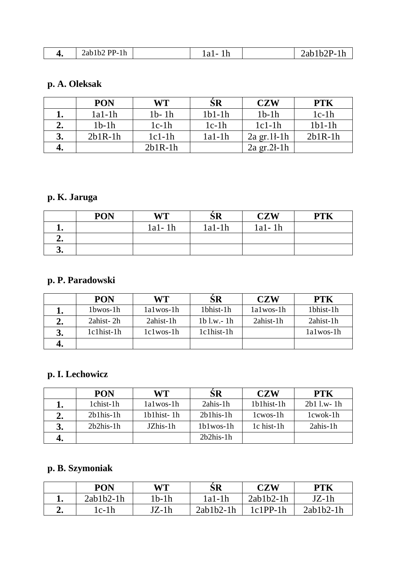| --<br>≖. |  | <br>$-1$ | - |
|----------|--|----------|---|

# **p. A. Oleksak**

|    | <b>PON</b> | WT        | SR       | <b>CZW</b>            | <b>PTK</b>   |
|----|------------|-----------|----------|-----------------------|--------------|
|    | $1a1-1h$   | $1b-1h$   | $1b1-1h$ | $1b-1h$               | $1c-1h$      |
|    | $1b-1h$    | $1c-1h$   | $1c-1h$  | $1c1-1h$              | $1b1$ -1 $h$ |
| 3. | $2b1R-1h$  | $1c1-1h$  | $1a1-1h$ | $2a$ gr. 1 $l$ -1 $h$ | $2b1R-1h$    |
|    |            | $2b1R-1h$ |          | $2a$ gr. $2l$ -1h     |              |

## **p. K. Jaruga**

|     | <b>PON</b> | <b>WT</b> | ŜR       | <b>CZW</b> | <b>PTK</b> |
|-----|------------|-----------|----------|------------|------------|
|     |            | 1a1-1h    | $1a1-1h$ | $1a1 - 1h$ |            |
| - - |            |           |          |            |            |
| J.  |            |           |          |            |            |

## **p. P. Paradowski**

|                         | <b>PON</b>   | WT              | SR              | <b>CZW</b>      | <b>PTK</b>      |
|-------------------------|--------------|-----------------|-----------------|-----------------|-----------------|
|                         | 1bwos-1h     | $1a1$ wos- $1h$ | 1bhist-1h       | $1a1w$ os- $1h$ | 1bhist-1h       |
| $\mathcal{L}_{\bullet}$ | 2ahist-2h    | 2ahist-1h       | $1b$ l.w.- $1h$ | 2ahist-1h       | 2ahist-1h       |
|                         | $1c1hist-1h$ | $1c1$ wos- $1h$ | $1c1hist-1h$    |                 | $1a1$ wos- $1h$ |
|                         |              |                 |                 |                 |                 |

## **p. I. Lechowicz**

|    | <b>PON</b>  | WT              | SR              | <b>CZW</b> | <b>PTK</b>    |
|----|-------------|-----------------|-----------------|------------|---------------|
|    | 1chist-1h   | $1a1$ wos- $1h$ | $2ahis-1h$      | 1b1hist-1h | $2b1$ l.w- 1h |
|    | $2b1his-1h$ | 1b1hist-1h      | $2b1his-1h$     | 1cwos-1h   | 1cwok-1h      |
| 3. | $2b2his-1h$ | JZhis-1h        | $1b1$ wos- $1h$ | 1c hist-1h | $2ahis-1h$    |
| 4. |             |                 | $2b2his-1h$     |            |               |

## **p. B. Szymoniak**

|     | <b>PON</b>  | WT    | SR          | <b>CZW</b>  | PTK         |
|-----|-------------|-------|-------------|-------------|-------------|
|     | $2ab1b2-1h$ | 1b-1h | 1a1-1h      | $2ab1b2-1h$ | JZ-1h       |
| ، ، | lc-1h       | JZ-1h | $2ab1b2-1h$ | $1c1PP-1h$  | $2ab1b2-1h$ |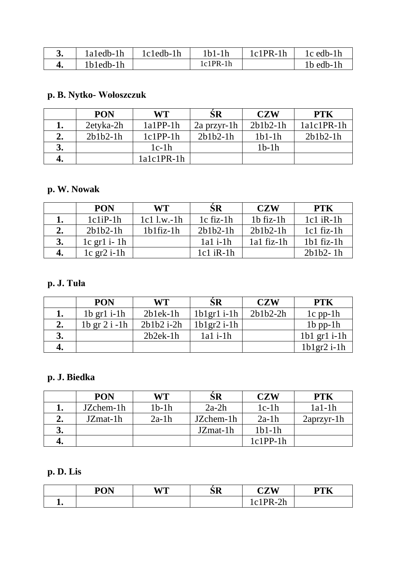| laledb-lh       | 1c1edb-1h | $1b1-1h$   | $1c1PR-1h$ | 1c edb-1h      |
|-----------------|-----------|------------|------------|----------------|
| $1b1$ edb- $1h$ |           | $1c1PR-1h$ |            | $1b$ edb- $1h$ |

## **p. B. Nytko- Wołoszczuk**

| <b>PON</b> | WT.          | SR          | <b>CZW</b> | <b>PTK</b>   |
|------------|--------------|-------------|------------|--------------|
| 2etyka-2h  | $1a1PP-1h$   | 2a przyr-1h | $2h1h2-1h$ | $1a1c1PR-1h$ |
| $2b1b2-1h$ | $1c1PP-1h$   | $2b1b2-1h$  | $1b1-1h$   | $2b1b2-1h$   |
|            | $1c-1h$      |             | $1b-1h$    |              |
|            | $1a1c1PR-1h$ |             |            |              |

## **p. W. Nowak**

| <b>PON</b>          | <b>WT</b>       | <b>SR</b>      | <b>CZW</b>      | <b>PTK</b>      |
|---------------------|-----------------|----------------|-----------------|-----------------|
| $1c1iP-1h$          | $1c1$ l.w.-1h   | $1c$ fiz- $1h$ | $1b$ fiz- $1h$  | $1c1$ iR-1h     |
| $2b1b2-1h$          | $1b1$ fiz- $1h$ | $2b1b2-1h$     | $2b1b2-1h$      | $1c1$ fiz- $1h$ |
| $1c$ gr $1$ i- $1h$ |                 | $1a1$ i-1h     | $1a1$ fiz- $1h$ | $1b1$ fiz- $1h$ |
| $1c$ gr2 i-1h       |                 | $1c1$ iR-1h    |                 | $2b1b2 - 1h$    |

#### **p. J. Tuła**

|               | <b>PON</b>          | WT           | <b>SR</b>     | <b>CZW</b> | <b>PTK</b>        |
|---------------|---------------------|--------------|---------------|------------|-------------------|
|               | $1b$ gr $1$ i- $1h$ | $2b1ek-1h$   | $1b1gr1$ i-1h | $2b1b2-2h$ | $1c$ pp- $1h$     |
| $2_{\bullet}$ | $1b$ gr $2i$ -1h    | $2b1b2$ i-2h | $1b1gr2$ i-1h |            | $1b$ pp- $1h$     |
| 3.            |                     | $2b2ek-1h$   | $1a1$ i-1h    |            | $1b1$ gr $1$ i-1h |
|               |                     |              |               |            | $1b1gr2$ i-1h     |

#### **p. J. Biedka**

|    | <b>PON</b> | WT      | SR        | <b>CZW</b> | <b>PTK</b>   |
|----|------------|---------|-----------|------------|--------------|
|    | JZchem-1h  | $1b-1h$ | $2a-2h$   | $1c-1h$    | $1a1-1h$     |
|    | JZmat-1h   | $2a-1h$ | JZchem-1h | $2a-1h$    | $2aprzvr-1h$ |
| 3. |            |         | JZmat-1h  | $1b1-1h$   |              |
|    |            |         |           | $1c1PP-1h$ |              |

### **p. D. Lis**

|    | <b>DON</b> | T<br>M | <b>SR</b> | CZW                            | $\mathbf{D}\mathbf{T}\mathbf{I}$<br>1 I. |
|----|------------|--------|-----------|--------------------------------|------------------------------------------|
| ≖∙ |            |        |           | $\mathcal{D}$<br>$\sim$<br>-11 |                                          |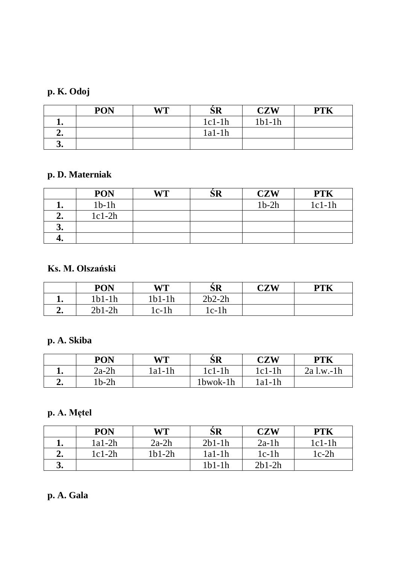### **p. K. Odoj**

|    | <b>PON</b> | WT | SR       | <b>CZW</b> | <b>PTK</b> |
|----|------------|----|----------|------------|------------|
|    |            |    | $1c1-1h$ | $1b1-1h$   |            |
| "∙ |            |    | $1a1-1h$ |            |            |
| J. |            |    |          |            |            |

### **p. D. Materniak**

|     | <b>PON</b> | <b>WT</b> | SR | <b>CZW</b> | <b>PTK</b> |
|-----|------------|-----------|----|------------|------------|
|     | $1b-1h$    |           |    | $1b-2h$    | $1c1-1h$   |
| ہ ت | $1c1-2h$   |           |    |            |            |
| J.  |            |           |    |            |            |
| т.  |            |           |    |            |            |

#### **Ks. M. Olszański**

|   | <b>PON</b> | WT       | SR       | <b>CZW</b> | PTK |
|---|------------|----------|----------|------------|-----|
|   | $1b1-1h$   | $1b1-1h$ | $2b2-2h$ |            |     |
| " | $2b1-2h$   | $c-1h$   | 1c-1h    |            |     |

# **p. A. Skiba**

|                          | <b>PON</b> | WT     | SR       | <b>CZW</b> | PTK          |
|--------------------------|------------|--------|----------|------------|--------------|
|                          | 2a-2h      | 1a1-1h | 1c1-1h   | $1c1-1h$   | $2a$ l.w.-1h |
| $\overline{\phantom{a}}$ | $1b-2h$    |        | 1bwok-1h | 1a1-1h     |              |

## **p. A. Mętel**

|    | <b>PON</b> | WT       | ŚR       | <b>CZW</b> | <b>PTK</b> |
|----|------------|----------|----------|------------|------------|
|    | $1a1-2h$   | $2a-2h$  | $2b1-1h$ | $2a-1h$    | $1c1-1h$   |
| z. | $1c1-2h$   | $1b1-2h$ | 1a1-1h   | 1c-1h      | $1c-2h$    |
| J. |            |          | 1b1-1h   | $2b1-2h$   |            |

## **p. A. Gala**